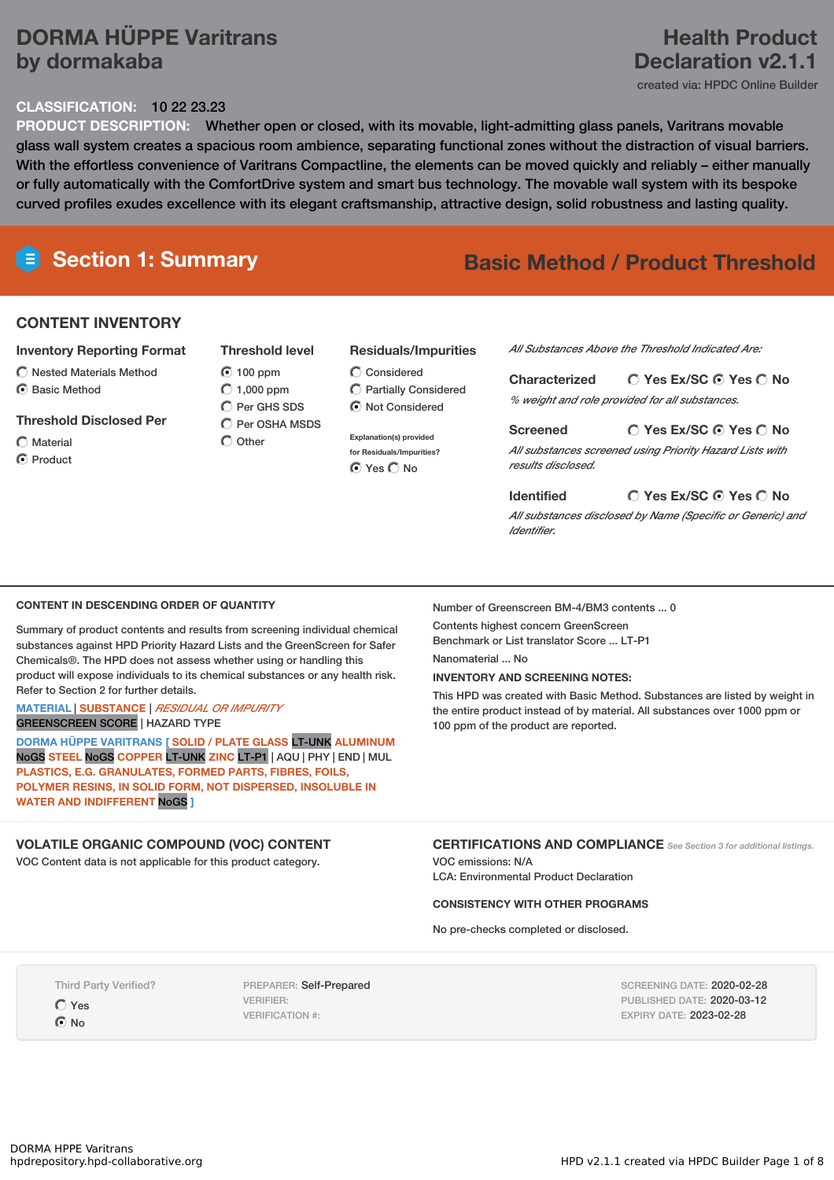# **DORMA HÜPPE Varitrans by dormakaba**

#### **CLASSIFICATION:** 10 22 23.23

# **PRODUCT DESCRIPTION:** Whether open or closed, with its movable, light-admitting glass panels, Varitrans movable glass wall system creates a spacious room ambience, separating functional zones without the distraction of visual barriers. With the effortless convenience of Varitrans Compactline, the elements can be moved quickly and reliably – either manually or fully automatically with the ComfortDrive system and smart bus technology. The movable wall system with its bespoke curved profiles exudes excellence with its elegant craftsmanship, attractive design, solid robustness and lasting quality.

# **Section 1: Summary Basic Method / Product Threshold**

# **CONTENT INVENTORY**

## **Inventory Reporting Format**

 $\bigcirc$  Nested Materials Method C Basic Method

## **Threshold Disclosed Per**

- Material
- C Product

## **Threshold level**

 $\odot$  100 ppm  $O$  1,000 ppm  $\bigcap$  Per GHS SDS C Per OSHA MSDS

 $\bigcap$  Other

Considered Partially Considered  $\odot$  Not Considered

**Residuals/Impurities**

**Explanation(s) provided for Residuals/Impurities?** O Yes O No

# *All Substances Above the Threshold Indicated Are:*

**Yes Ex/SC Yes No Characterized** *% weight and role provided for all substances.*

**Yes Ex/SC Yes No Screened** *All substances screened using Priority Hazard Lists with results disclosed.*

#### **Identified**

*All substances disclosed by Name (Specific or Generic) and Identifier.*

**Yes Ex/SC Yes No**

#### **CONTENT IN DESCENDING ORDER OF QUANTITY**

Summary of product contents and results from screening individual chemical substances against HPD Priority Hazard Lists and the GreenScreen for Safer Chemicals®. The HPD does not assess whether using or handling this product will expose individuals to its chemical substances or any health risk. Refer to Section 2 for further details.

#### **MATERIAL** | **SUBSTANCE** | *RESIDUAL OR IMPURITY* GREENSCREEN SCORE | HAZARD TYPE

**DORMA HÜPPE VARITRANS [ SOLID / PLATE GLASS** LT-UNK **ALUMINUM** NoGS **STEEL** NoGS **COPPER** LT-UNK **ZINC** LT-P1 | AQU | PHY | END | MUL **PLASTICS, E.G. GRANULATES, FORMED PARTS, FIBRES, FOILS, POLYMER RESINS, IN SOLID FORM, NOT DISPERSED, INSOLUBLE IN WATER AND INDIFFERENT** NoGS **]**

# **VOLATILE ORGANIC COMPOUND (VOC) CONTENT**

VOC Content data is not applicable for this product category.

#### Number of Greenscreen BM-4/BM3 contents ... 0

Contents highest concern GreenScreen Benchmark or List translator Score ... LT-P1

## Nanomaterial No.

**INVENTORY AND SCREENING NOTES:**

This HPD was created with Basic Method. Substances are listed by weight in the entire product instead of by material. All substances over 1000 ppm or 100 ppm of the product are reported.

## **CERTIFICATIONS AND COMPLIANCE** *See Section <sup>3</sup> for additional listings.*

VOC emissions: N/A LCA: Environmental Product Declaration

## **CONSISTENCY WITH OTHER PROGRAMS**

No pre-checks completed or disclosed.

Third Party Verified?

Yes  $\odot$  No

PREPARER: Self-Prepared VERIFIER: VERIFICATION #:

SCREENING DATE: 2020-02-28 PUBLISHED DATE: 2020-03-12 EXPIRY DATE: 2023-02-28

# **Health Product Declaration v2.1.1**

created via: HPDC Online Builder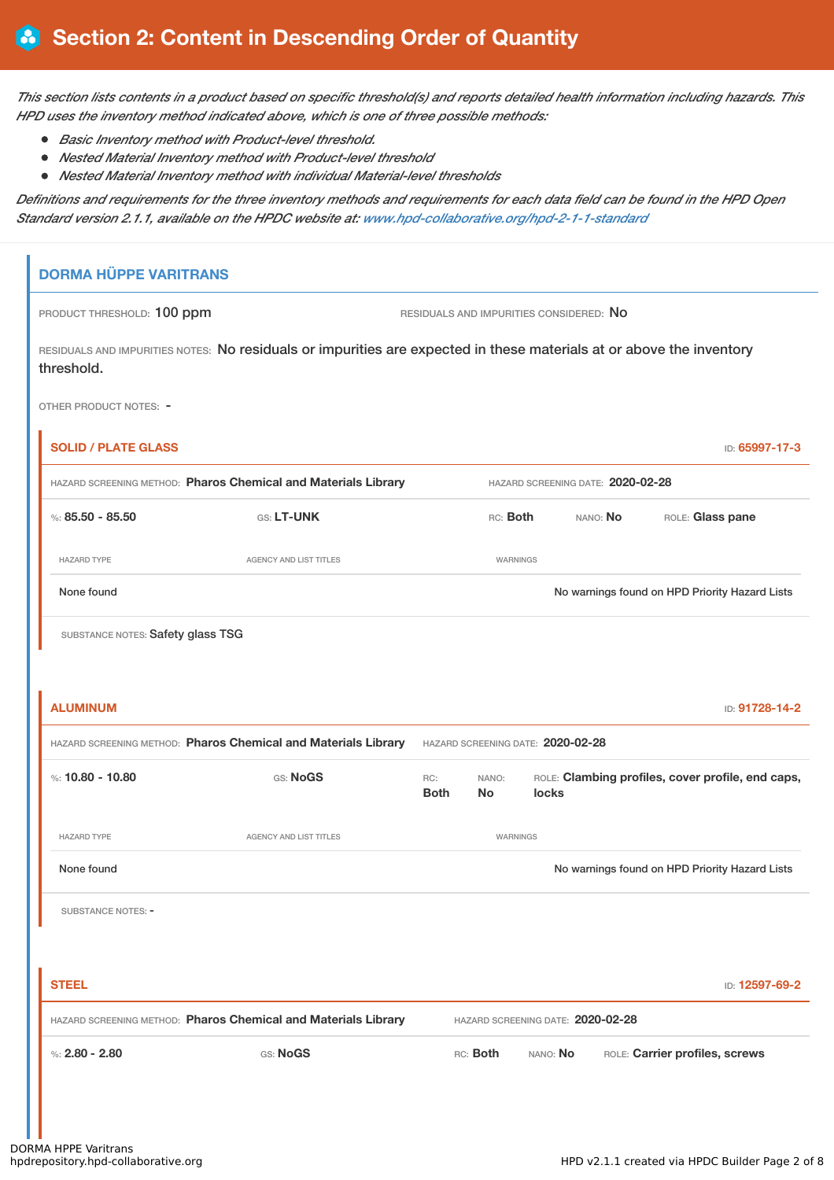This section lists contents in a product based on specific threshold(s) and reports detailed health information including hazards. This *HPD uses the inventory method indicated above, which is one of three possible methods:*

- *Basic Inventory method with Product-level threshold.*
- *Nested Material Inventory method with Product-level threshold*
- *Nested Material Inventory method with individual Material-level thresholds*

Definitions and requirements for the three inventory methods and requirements for each data field can be found in the HPD Open *Standard version 2.1.1, available on the HPDC website at: [www.hpd-collaborative.org/hpd-2-1-1-standard](https://www.hpd-collaborative.org/hpd-2-1-1-standard)*

# **DORMA HÜPPE VARITRANS** PRODUCT THRESHOLD: 100 ppm RESIDUALS AND IMPURITIES CONSIDERED: No RESIDUALS AND IMPURITIES NOTES: No residuals or impurities are expected in these materials at or above the inventory threshold. OTHER PRODUCT NOTES: - **SOLID / PLATE GLASS** ID: **65997-17-3** HAZARD SCREENING METHOD: **Pharos Chemical and Materials Library** HAZARD SCREENING DATE: **2020-02-28** %: **85.50 - 85.50** GS: **LT-UNK** RC: **Both** NANO: **No** ROLE: **Glass pane** HAZARD TYPE THE RESERVED ON AGENCY AND LIST TITLES THE RESERVED ON A MARNINGS None found Now are found to the priority Hazard Lists on the Movement on HPD Priority Hazard Lists SUBSTANCE NOTES: Safety glass TSG **ALUMINUM** ID: **91728-14-2** HAZARD SCREENING METHOD: **Pharos Chemical and Materials Library** HAZARD SCREENING DATE: **2020-02-28** %: **10.80 - 10.80** GS: **NogS** RC: **Both** NANO: **No** ROLE: **Clambing profiles, cover profile, end caps, locks** HAZARD TYPE **AGENCY AND LIST TITLES AGENCY AND LIST TITLES** None found Nowarnings found on HPD Priority Hazard Lists SUBSTANCE NOTES: -**STEEL** ID: **12597-69-2** HAZARD SCREENING METHOD: **Pharos Chemical and Materials Library** HAZARD SCREENING DATE: **2020-02-28** %: **2.80 - 2.80** GS: **NoGS** RC: **Both** NANO: **No** ROLE: **Carrier profiles, screws**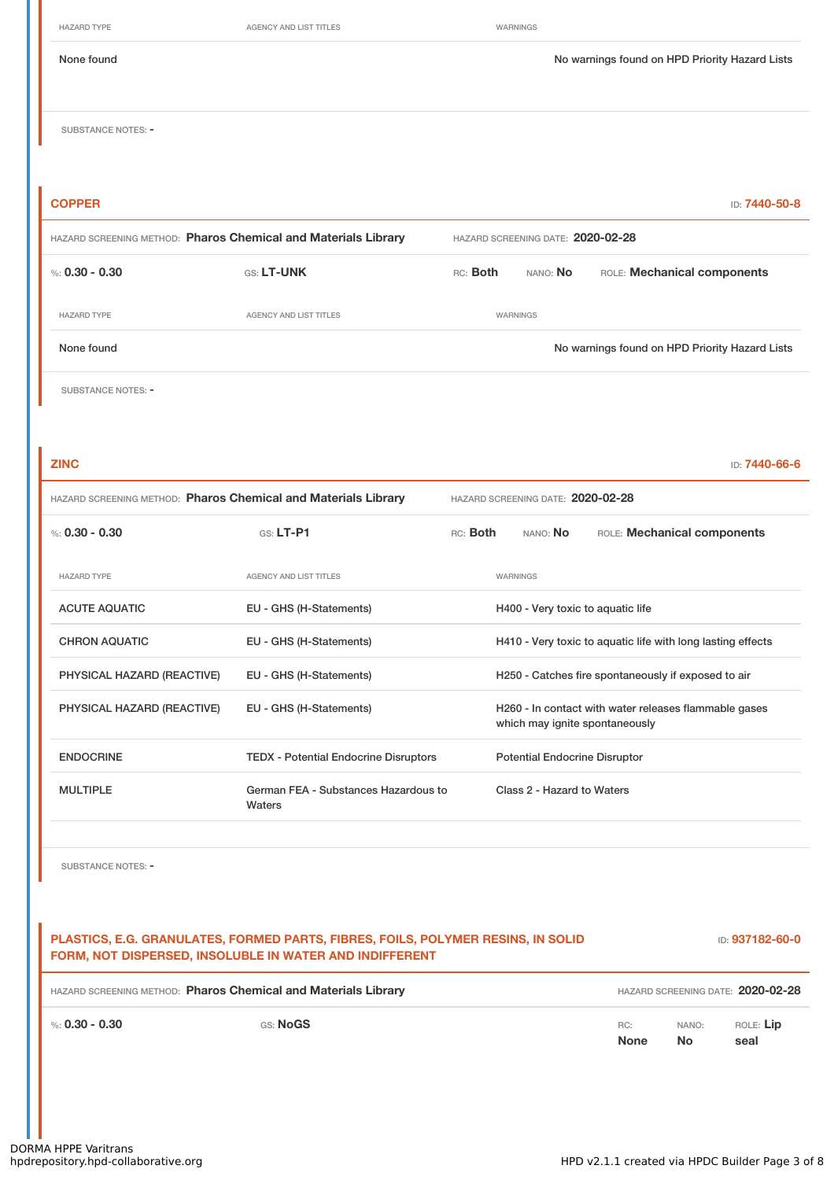HAZARD TYPE **AGENCY AND LIST TITLES** WARNINGS

SUBSTANCE NOTES: -

| <b>COPPER</b>                                                  |                               |                                   |                 | ID: 7440-50-8                                  |  |
|----------------------------------------------------------------|-------------------------------|-----------------------------------|-----------------|------------------------------------------------|--|
| HAZARD SCREENING METHOD: Pharos Chemical and Materials Library |                               | HAZARD SCREENING DATE: 2020-02-28 |                 |                                                |  |
| %: $0.30 - 0.30$                                               | GS: LT-UNK                    | RC: Both                          | nano: <b>No</b> | ROLE: Mechanical components                    |  |
| <b>HAZARD TYPE</b>                                             | <b>AGENCY AND LIST TITLES</b> |                                   | WARNINGS        |                                                |  |
| None found                                                     |                               |                                   |                 | No warnings found on HPD Priority Hazard Lists |  |
| SUBSTANCE NOTES: -                                             |                               |                                   |                 |                                                |  |

| <b>ZINC</b>                                                    |                                                |          |                                                             | ID: 7440-66-6                                         |  |
|----------------------------------------------------------------|------------------------------------------------|----------|-------------------------------------------------------------|-------------------------------------------------------|--|
| HAZARD SCREENING METHOD: Pharos Chemical and Materials Library |                                                |          | HAZARD SCREENING DATE: 2020-02-28                           |                                                       |  |
| %: $0.30 - 0.30$                                               | $GS: LT-P1$                                    | RC: Both | NANO: <b>No</b>                                             | ROLE: Mechanical components                           |  |
| <b>HAZARD TYPE</b>                                             | <b>AGENCY AND LIST TITLES</b>                  |          | WARNINGS                                                    |                                                       |  |
| <b>ACUTE AQUATIC</b>                                           | EU - GHS (H-Statements)                        |          | H400 - Very toxic to aquatic life                           |                                                       |  |
| <b>CHRON AQUATIC</b>                                           | EU - GHS (H-Statements)                        |          | H410 - Very toxic to aquatic life with long lasting effects |                                                       |  |
| PHYSICAL HAZARD (REACTIVE)                                     | EU - GHS (H-Statements)                        |          |                                                             | H250 - Catches fire spontaneously if exposed to air   |  |
| PHYSICAL HAZARD (REACTIVE)                                     | EU - GHS (H-Statements)                        |          | which may ignite spontaneously                              | H260 - In contact with water releases flammable gases |  |
| <b>ENDOCRINE</b>                                               | <b>TEDX</b> - Potential Endocrine Disruptors   |          | <b>Potential Endocrine Disruptor</b>                        |                                                       |  |
| <b>MULTIPLE</b>                                                | German FEA - Substances Hazardous to<br>Waters |          | Class 2 - Hazard to Waters                                  |                                                       |  |
|                                                                |                                                |          |                                                             |                                                       |  |

SUBSTANCE NOTES: -

## **PLASTICS, E.G. GRANULATES, FORMED PARTS, FIBRES, FOILS, POLYMER RESINS, IN SOLID FORM, NOT DISPERSED, INSOLUBLE IN WATER AND INDIFFERENT** ID: **937182-60-0** HAZARD SCREENING METHOD: **Pharos Chemical and Materials Library** HAZARD SCREENING DATE: **2020-02-28**

%: **0.30 - 0.30** GS: **NoGS** RC:

**None**

NANO: **No**

ROLE: **Lip seal**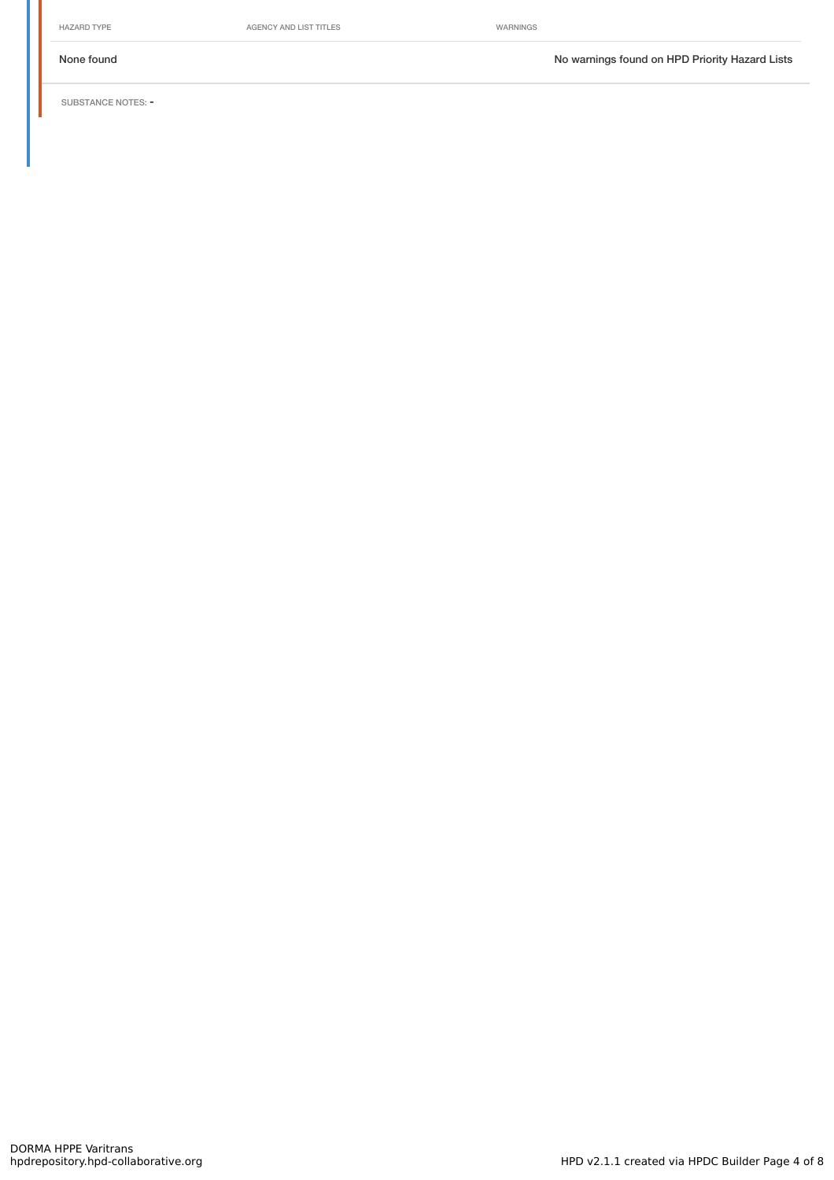HAZARD TYPE **AGENCY AND LIST TITLES** WARNINGS

None found Nowarnings found on HPD Priority Hazard Lists

SUBSTANCE NOTES: -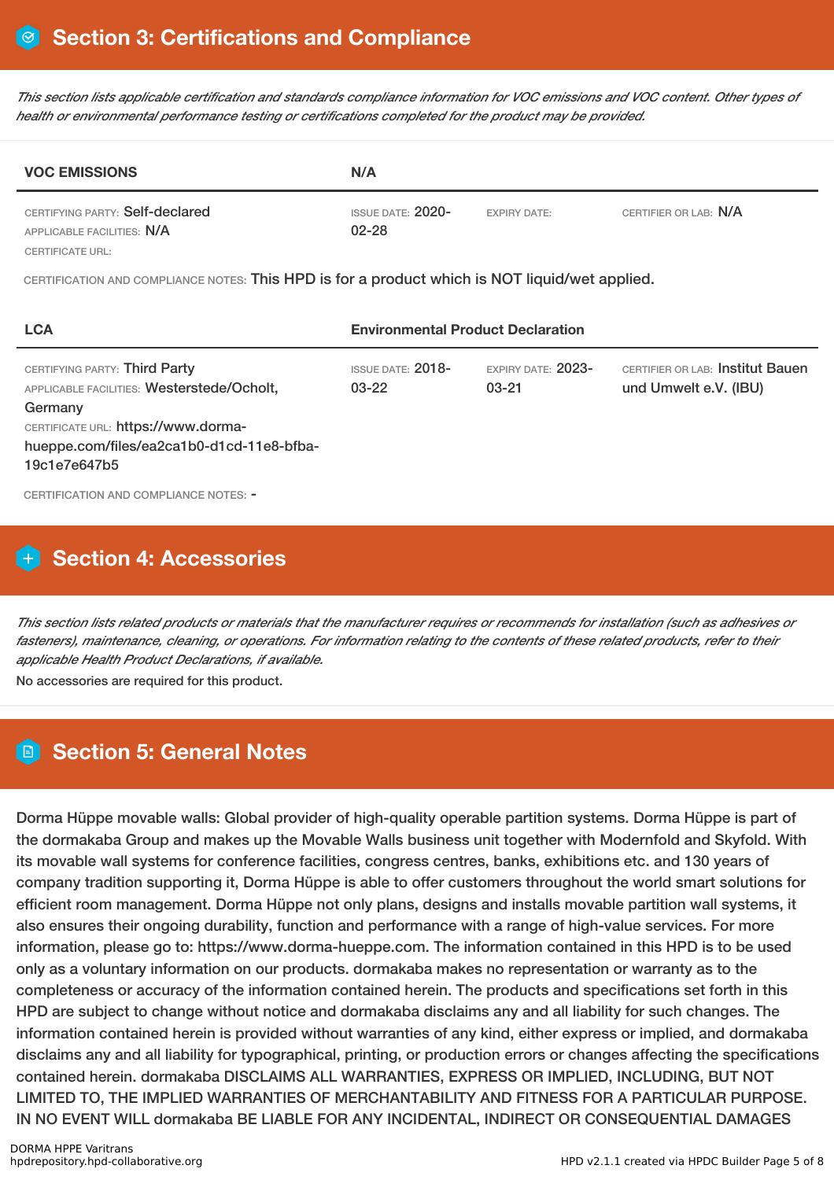This section lists applicable certification and standards compliance information for VOC emissions and VOC content. Other types of *health or environmental performance testing or certifications completed for the product may be provided.*

| <b>VOC EMISSIONS</b>                                          | N/A                            |                     |                       |
|---------------------------------------------------------------|--------------------------------|---------------------|-----------------------|
| CERTIFYING PARTY: Self-declared<br>APPLICABLE FACILITIES: N/A | ISSUE DATE: 2020-<br>$02 - 28$ | <b>EXPIRY DATE:</b> | CERTIFIER OR LAB: N/A |
| <b>CERTIFICATE URL:</b>                                       |                                |                     |                       |

CERTIFICATION AND COMPLIANCE NOTES: This HPD is for a product which is NOT liquid/wet applied.

| <b>LCA</b>                                                                                                                                                                                 | <b>Environmental Product Declaration</b> |                                   |                                                           |  |
|--------------------------------------------------------------------------------------------------------------------------------------------------------------------------------------------|------------------------------------------|-----------------------------------|-----------------------------------------------------------|--|
| CERTIFYING PARTY: Third Party<br>APPLICABLE FACILITIES: Westerstede/Ocholt,<br>Germany<br>CERTIFICATE URL: https://www.dorma-<br>hueppe.com/files/ea2ca1b0-d1cd-11e8-bfba-<br>19c1e7e647b5 | <b>ISSUE DATE: 2018-</b><br>$03 - 22$    | EXPIRY DATE: $2023-$<br>$03 - 21$ | CERTIFIER OR LAB: Institut Bauen<br>und Umwelt e.V. (IBU) |  |
| CERTIFICATION AND COMPLIANCE NOTES: -                                                                                                                                                      |                                          |                                   |                                                           |  |

# **H** Section 4: Accessories

This section lists related products or materials that the manufacturer requires or recommends for installation (such as adhesives or fasteners), maintenance, cleaning, or operations. For information relating to the contents of these related products, refer to their *applicable Health Product Declarations, if available.*

No accessories are required for this product.

# **Section 5: General Notes**

Dorma Hüppe movable walls: Global provider of high-quality operable partition systems. Dorma Hüppe is part of the dormakaba Group and makes up the Movable Walls business unit together with Modernfold and Skyfold. With its movable wall systems for conference facilities, congress centres, banks, exhibitions etc. and 130 years of company tradition supporting it, Dorma Hüppe is able to offer customers throughout the world smart solutions for efficient room management. Dorma Hüppe not only plans, designs and installs movable partition wall systems, it also ensures their ongoing durability, function and performance with a range of high-value services. For more information, please go to: https://www.dorma-hueppe.com. The information contained in this HPD is to be used only as a voluntary information on our products. dormakaba makes no representation or warranty as to the completeness or accuracy of the information contained herein. The products and specifications set forth in this HPD are subject to change without notice and dormakaba disclaims any and all liability for such changes. The information contained herein is provided without warranties of any kind, either express or implied, and dormakaba disclaims any and all liability for typographical, printing, or production errors or changes affecting the specifications contained herein. dormakaba DISCLAIMS ALL WARRANTIES, EXPRESS OR IMPLIED, INCLUDING, BUT NOT LIMITED TO, THE IMPLIED WARRANTIES OF MERCHANTABILITY AND FITNESS FOR A PARTICULAR PURPOSE. IN NO EVENT WILL dormakaba BE LIABLE FOR ANY INCIDENTAL, INDIRECT OR CONSEQUENTIAL DAMAGES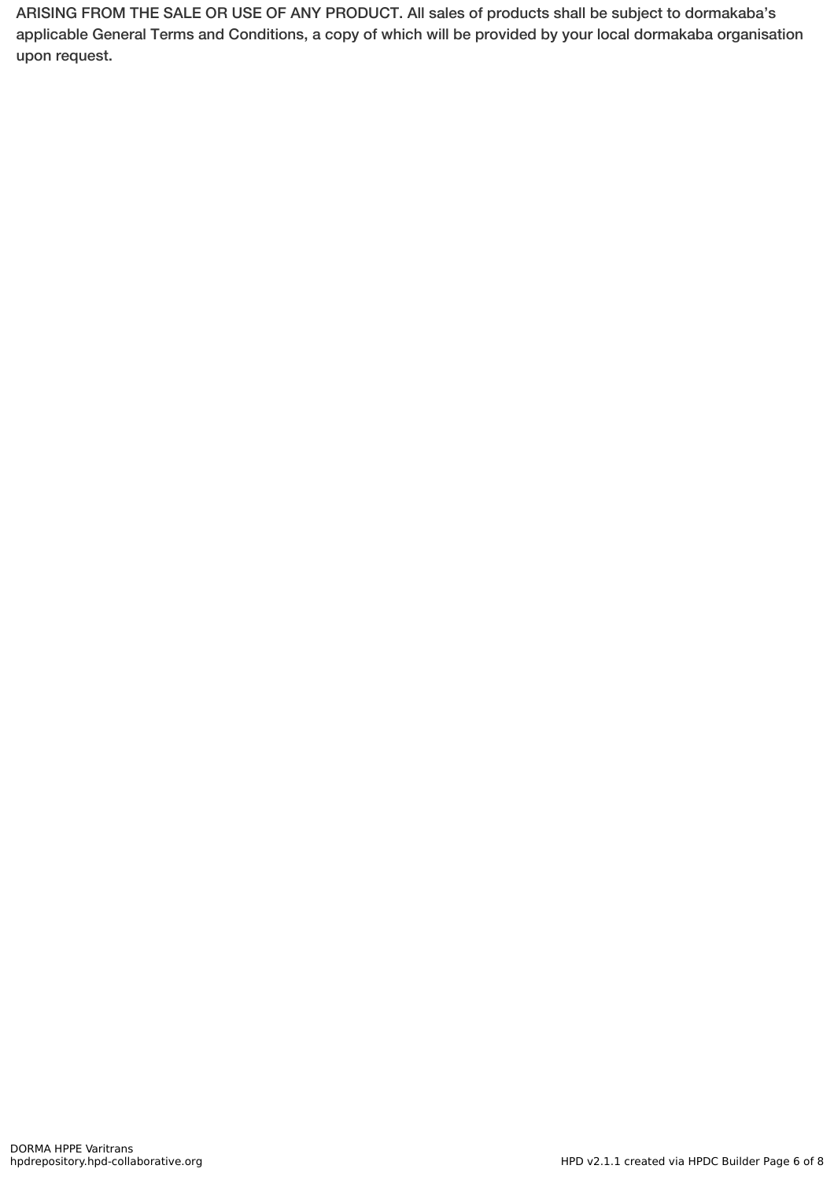ARISING FROM THE SALE OR USE OF ANY PRODUCT. All sales of products shall be subject to dormakaba's applicable General Terms and Conditions, a copy of which will be provided by your local dormakaba organisation upon request.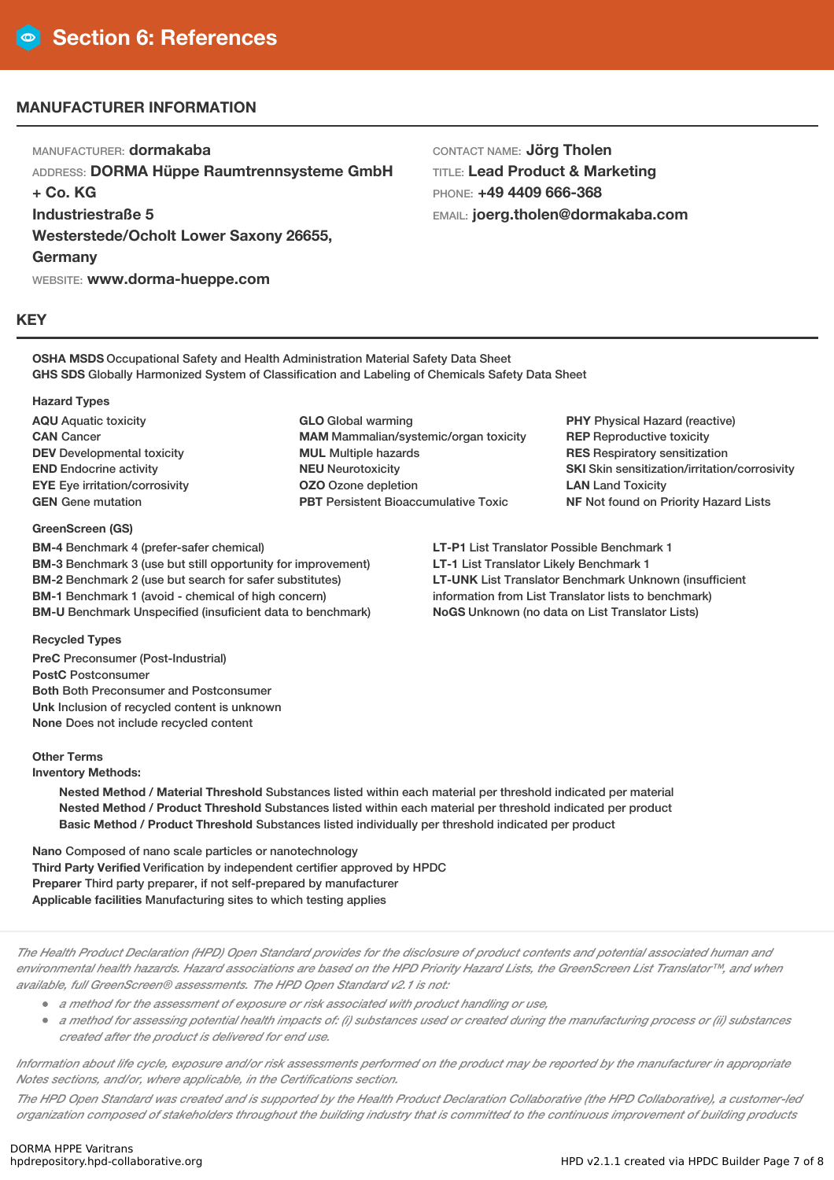## **MANUFACTURER INFORMATION**

MANUFACTURER: **dormakaba** ADDRESS: **DORMA Hüppe Raumtrennsysteme GmbH + Co. KG Industriestraße 5 Westerstede/Ocholt Lower Saxony 26655, Germany** WEBSITE: **www.dorma-hueppe.com**

CONTACT NAME: **Jörg Tholen** TITLE: **Lead Product & Marketing** PHONE: **+49 4409 666-368** EMAIL: **joerg.tholen@dormakaba.com**

#### **KEY**

**OSHA MSDS** Occupational Safety and Health Administration Material Safety Data Sheet **GHS SDS** Globally Harmonized System of Classification and Labeling of Chemicals Safety Data Sheet

#### **Hazard Types**

**AQU** Aquatic toxicity **CAN** Cancer **DEV** Developmental toxicity **END** Endocrine activity **EYE** Eye irritation/corrosivity **GEN** Gene mutation

#### **GreenScreen (GS)**

**BM-4** Benchmark 4 (prefer-safer chemical) **BM-3** Benchmark 3 (use but still opportunity for improvement) **BM-2** Benchmark 2 (use but search for safer substitutes) **BM-1** Benchmark 1 (avoid - chemical of high concern) **BM-U** Benchmark Unspecified (insuficient data to benchmark)

**GLO** Global warming **MAM** Mammalian/systemic/organ toxicity **MUL** Multiple hazards **NEU** Neurotoxicity **OZO** Ozone depletion **PBT** Persistent Bioaccumulative Toxic

**PHY** Physical Hazard (reactive) **REP** Reproductive toxicity **RES** Respiratory sensitization **SKI** Skin sensitization/irritation/corrosivity **LAN** Land Toxicity **NF** Not found on Priority Hazard Lists

**LT-P1** List Translator Possible Benchmark 1 **LT-1** List Translator Likely Benchmark 1 **LT-UNK** List Translator Benchmark Unknown (insufficient information from List Translator lists to benchmark) **NoGS** Unknown (no data on List Translator Lists)

#### **Recycled Types**

**PreC** Preconsumer (Post-Industrial) **PostC** Postconsumer **Both** Both Preconsumer and Postconsumer **Unk** Inclusion of recycled content is unknown **None** Does not include recycled content

#### **Other Terms**

**Inventory Methods:**

**Nested Method / Material Threshold** Substances listed within each material per threshold indicated per material **Nested Method / Product Threshold** Substances listed within each material per threshold indicated per product **Basic Method / Product Threshold** Substances listed individually per threshold indicated per product

**Nano** Composed of nano scale particles or nanotechnology **Third Party Verified** Verification by independent certifier approved by HPDC **Preparer** Third party preparer, if not self-prepared by manufacturer **Applicable facilities** Manufacturing sites to which testing applies

The Health Product Declaration (HPD) Open Standard provides for the disclosure of product contents and potential associated human and environmental health hazards. Hazard associations are based on the HPD Priority Hazard Lists, the GreenScreen List Translator™, and when *available, full GreenScreen® assessments. The HPD Open Standard v2.1 is not:*

- *<sup>a</sup> method for the assessment of exposure or risk associated with product handling or use,*
- a method for assessing potential health impacts of: (i) substances used or created during the manufacturing process or (ii) substances *created after the product is delivered for end use.*

Information about life cycle, exposure and/or risk assessments performed on the product may be reported by the manufacturer in appropriate *Notes sections, and/or, where applicable, in the Certifications section.*

The HPD Open Standard was created and is supported by the Health Product Declaration Collaborative (the HPD Collaborative), a customer-led organization composed of stakeholders throughout the building industry that is committed to the continuous improvement of building products